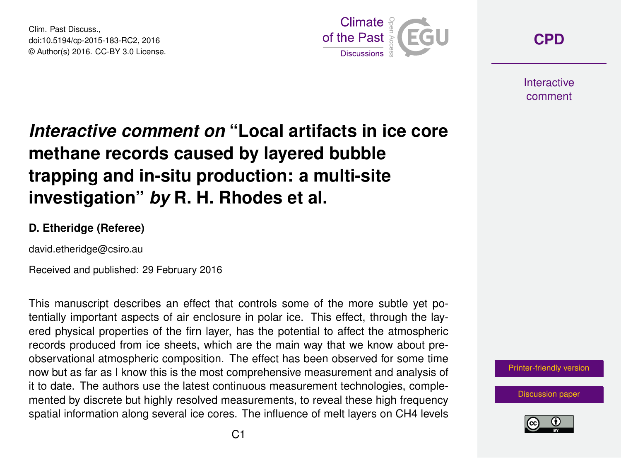Clim. Past Discuss., doi:10.5194/cp-2015-183-RC2, 2016 © Author(s) 2016. CC-BY 3.0 License.



**[CPD](http://www.clim-past-discuss.net/)**

**Interactive** comment

## *Interactive comment on* **"Local artifacts in ice core methane records caused by layered bubble trapping and in-situ production: a multi-site investigation"** *by* **R. H. Rhodes et al.**

## **D. Etheridge (Referee)**

david.etheridge@csiro.au

Received and published: 29 February 2016

This manuscript describes an effect that controls some of the more subtle yet potentially important aspects of air enclosure in polar ice. This effect, through the layered physical properties of the firn layer, has the potential to affect the atmospheric records produced from ice sheets, which are the main way that we know about preobservational atmospheric composition. The effect has been observed for some time now but as far as I know this is the most comprehensive measurement and analysis of it to date. The authors use the latest continuous measurement technologies, complemented by discrete but highly resolved measurements, to reveal these high frequency spatial information along several ice cores. The influence of melt layers on CH4 levels

[Printer-friendly version](http://www.clim-past-discuss.net/cp-2015-183/cp-2015-183-RC2-print.pdf)

[Discussion paper](http://www.clim-past-discuss.net/cp-2015-183)

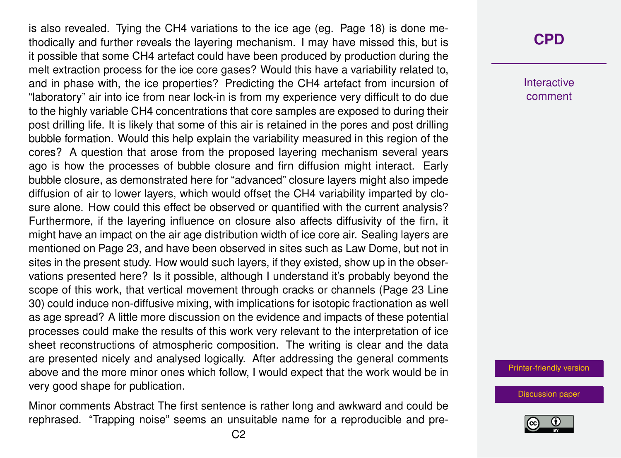is also revealed. Tying the CH4 variations to the ice age (eg. Page 18) is done methodically and further reveals the layering mechanism. I may have missed this, but is it possible that some CH4 artefact could have been produced by production during the melt extraction process for the ice core gases? Would this have a variability related to, and in phase with, the ice properties? Predicting the CH4 artefact from incursion of "laboratory" air into ice from near lock-in is from my experience very difficult to do due to the highly variable CH4 concentrations that core samples are exposed to during their post drilling life. It is likely that some of this air is retained in the pores and post drilling bubble formation. Would this help explain the variability measured in this region of the cores? A question that arose from the proposed layering mechanism several years ago is how the processes of bubble closure and firn diffusion might interact. Early bubble closure, as demonstrated here for "advanced" closure layers might also impede diffusion of air to lower layers, which would offset the CH4 variability imparted by closure alone. How could this effect be observed or quantified with the current analysis? Furthermore, if the layering influence on closure also affects diffusivity of the firn, it might have an impact on the air age distribution width of ice core air. Sealing layers are mentioned on Page 23, and have been observed in sites such as Law Dome, but not in sites in the present study. How would such layers, if they existed, show up in the observations presented here? Is it possible, although I understand it's probably beyond the scope of this work, that vertical movement through cracks or channels (Page 23 Line 30) could induce non-diffusive mixing, with implications for isotopic fractionation as well as age spread? A little more discussion on the evidence and impacts of these potential processes could make the results of this work very relevant to the interpretation of ice sheet reconstructions of atmospheric composition. The writing is clear and the data are presented nicely and analysed logically. After addressing the general comments above and the more minor ones which follow, I would expect that the work would be in very good shape for publication.

Minor comments Abstract The first sentence is rather long and awkward and could be rephrased. "Trapping noise" seems an unsuitable name for a reproducible and pre-

## **[CPD](http://www.clim-past-discuss.net/)**

Interactive comment

[Printer-friendly version](http://www.clim-past-discuss.net/cp-2015-183/cp-2015-183-RC2-print.pdf)

[Discussion paper](http://www.clim-past-discuss.net/cp-2015-183)